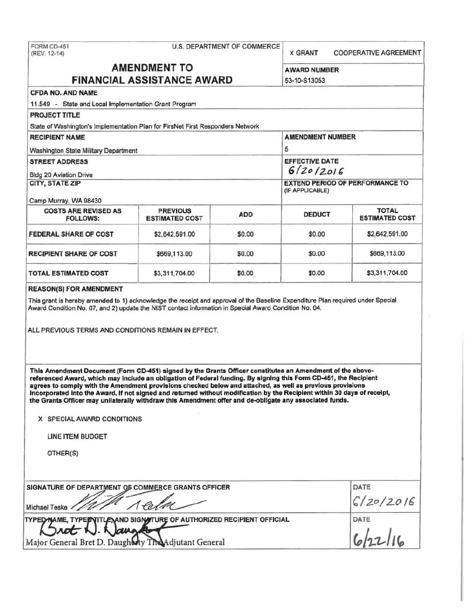| FORM CD-451<br>(REV. 12-14)                                                                                                                                                                                                                                                                                                                                                                                                                                                                                                                                                                                     |                                                           | <b>U.S. DEPARTMENT OF COMMERCE</b> | <b>X GRANT</b>                      | <b>COOPERATIVE AGREEMENT</b> |  |
|-----------------------------------------------------------------------------------------------------------------------------------------------------------------------------------------------------------------------------------------------------------------------------------------------------------------------------------------------------------------------------------------------------------------------------------------------------------------------------------------------------------------------------------------------------------------------------------------------------------------|-----------------------------------------------------------|------------------------------------|-------------------------------------|------------------------------|--|
| <b>AMENDMENT TO</b><br><b>FINANCIAL ASSISTANCE AWARD</b>                                                                                                                                                                                                                                                                                                                                                                                                                                                                                                                                                        |                                                           |                                    | <b>AWARD NUMBER</b><br>53-10-S13053 |                              |  |
| <b>CFDA NO. AND NAME</b>                                                                                                                                                                                                                                                                                                                                                                                                                                                                                                                                                                                        |                                                           |                                    |                                     |                              |  |
| 11.549 - State and Local Implementation Grant Program                                                                                                                                                                                                                                                                                                                                                                                                                                                                                                                                                           |                                                           |                                    |                                     |                              |  |
| <b>PROJECT TITLE</b>                                                                                                                                                                                                                                                                                                                                                                                                                                                                                                                                                                                            |                                                           |                                    |                                     |                              |  |
| State of Washington's Implementation Plan for FirsNet First Responders Network                                                                                                                                                                                                                                                                                                                                                                                                                                                                                                                                  |                                                           |                                    |                                     |                              |  |
| <b>RECIPIENT NAME</b>                                                                                                                                                                                                                                                                                                                                                                                                                                                                                                                                                                                           | <b>AMENDMENT NUMBER</b><br>5                              |                                    |                                     |                              |  |
| Washington State Military Department                                                                                                                                                                                                                                                                                                                                                                                                                                                                                                                                                                            |                                                           |                                    |                                     |                              |  |
| <b>STREET ADDRESS</b>                                                                                                                                                                                                                                                                                                                                                                                                                                                                                                                                                                                           |                                                           |                                    | <b>EFFECTIVE DATE</b>               |                              |  |
| <b>Bidg 20 Aviation Drive</b>                                                                                                                                                                                                                                                                                                                                                                                                                                                                                                                                                                                   |                                                           |                                    | 6/20/2016                           |                              |  |
| CITY, STATE ZIP                                                                                                                                                                                                                                                                                                                                                                                                                                                                                                                                                                                                 | <b>EXTEND PERIOD OF PERFORMANCE TO</b><br>(IF APPLICABLE) |                                    |                                     |                              |  |
| Camp Murray, WA 98430<br><b>COSTS ARE REVISED AS</b>                                                                                                                                                                                                                                                                                                                                                                                                                                                                                                                                                            | <b>PREVIOUS</b>                                           |                                    |                                     | <b>TOTAL</b>                 |  |
| <b>FOLLOWS:</b>                                                                                                                                                                                                                                                                                                                                                                                                                                                                                                                                                                                                 | <b>ESTIMATED COST</b>                                     | <b>ADD</b>                         | <b>DEDUCT</b>                       | <b>ESTIMATED COST</b>        |  |
| <b>FEDERAL SHARE OF COST</b>                                                                                                                                                                                                                                                                                                                                                                                                                                                                                                                                                                                    | \$2,642,591.00                                            | \$0.00                             | \$0.00                              | \$2,642,591.00               |  |
| <b>RECIPIENT SHARE OF COST</b>                                                                                                                                                                                                                                                                                                                                                                                                                                                                                                                                                                                  | \$669,113.00                                              | \$0.00                             | \$0.00                              | \$669,113.00                 |  |
| <b>TOTAL ESTIMATED COST</b>                                                                                                                                                                                                                                                                                                                                                                                                                                                                                                                                                                                     | \$3,311,704.00                                            | \$0.00                             | \$0.00                              | \$3,311,704.00               |  |
| ALL PREVIOUS TERMS AND CONDITIONS REMAIN IN EFFECT.                                                                                                                                                                                                                                                                                                                                                                                                                                                                                                                                                             |                                                           |                                    |                                     |                              |  |
| This Amendment Document (Form CD-451) signed by the Grants Officer constitutes an Amendment of the above-<br>referenced Award, which may include an obligation of Federal funding. By signing this Form CD-451, the Recipient<br>agrees to comply with the Amendment provisions checked below and attached, as well as previous provisions<br>incorporated into the Award. If not signed and returned without modification by the Recipient within 30 days of receipt,<br>the Grants Officer may unilaterally withdraw this Amendment offer and de-obligate any associated funds.<br>X SPECIAL AWARD CONDITIONS |                                                           |                                    |                                     |                              |  |
| LINE ITEM BUDGET                                                                                                                                                                                                                                                                                                                                                                                                                                                                                                                                                                                                |                                                           |                                    |                                     |                              |  |
| OTHER(S)                                                                                                                                                                                                                                                                                                                                                                                                                                                                                                                                                                                                        |                                                           |                                    |                                     |                              |  |
| SIGNATURE OF DEPARTMENT OF COMMERCE GRANTS OFFICER                                                                                                                                                                                                                                                                                                                                                                                                                                                                                                                                                              | DATE                                                      |                                    |                                     |                              |  |
| Michael Teske                                                                                                                                                                                                                                                                                                                                                                                                                                                                                                                                                                                                   |                                                           |                                    |                                     | 6/20/2016                    |  |
| TYPED NAME, TYPED TITLE AND SIGN TURE OF AUTHORIZED RECIPIENT OFFICIAL<br>Major General Bret D. Daugharty The Adjutant General                                                                                                                                                                                                                                                                                                                                                                                                                                                                                  | DATE                                                      |                                    |                                     |                              |  |
|                                                                                                                                                                                                                                                                                                                                                                                                                                                                                                                                                                                                                 |                                                           |                                    |                                     |                              |  |